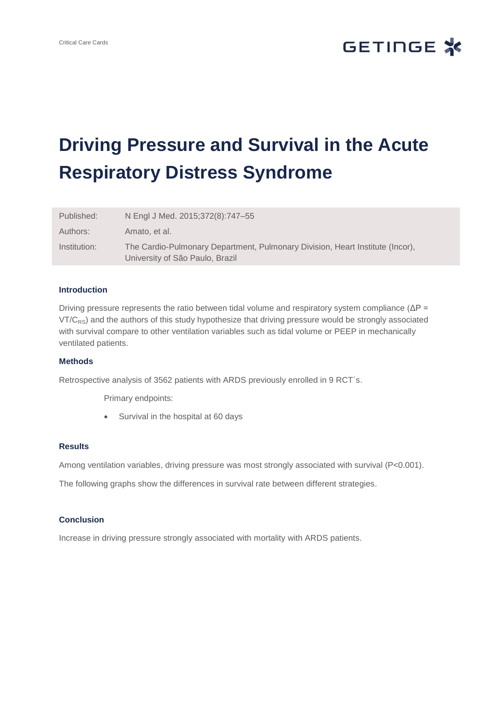

# **Driving Pressure and Survival in the Acute Respiratory Distress Syndrome**

| Published:   | N Engl J Med. 2015;372(8):747-55                                                                                 |
|--------------|------------------------------------------------------------------------------------------------------------------|
| Authors:     | Amato, et al.                                                                                                    |
| Institution: | The Cardio-Pulmonary Department, Pulmonary Division, Heart Institute (Incor),<br>University of São Paulo, Brazil |

## **Introduction**

Driving pressure represents the ratio between tidal volume and respiratory system compliance (ΔP = VT/C<sub>RS</sub>) and the authors of this study hypothesize that driving pressure would be strongly associated with survival compare to other ventilation variables such as tidal volume or PEEP in mechanically ventilated patients.

### **Methods**

Retrospective analysis of 3562 patients with ARDS previously enrolled in 9 RCT´s.

Primary endpoints:

Survival in the hospital at 60 days

#### **Results**

Among ventilation variables, driving pressure was most strongly associated with survival (P<0.001).

The following graphs show the differences in survival rate between different strategies.

# **Conclusion**

Increase in driving pressure strongly associated with mortality with ARDS patients.